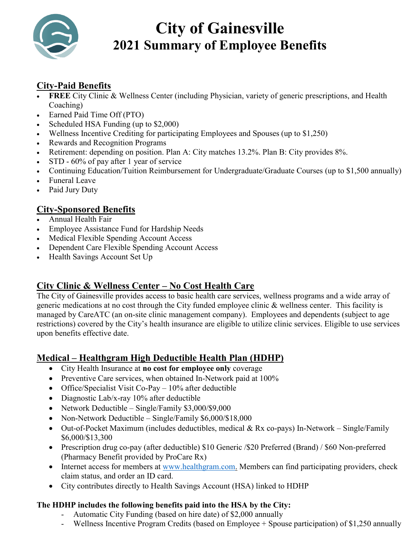

# **City of Gainesville 2021 Summary of Employee Benefits**

# **City-Paid Benefits**

- **FREE** City Clinic & Wellness Center (including Physician, variety of generic prescriptions, and Health Coaching)
- Earned Paid Time Off (PTO)
- Scheduled HSA Funding (up to \$2,000)
- Wellness Incentive Crediting for participating Employees and Spouses (up to \$1,250)
- Rewards and Recognition Programs
- Retirement: depending on position. Plan A: City matches 13.2%. Plan B: City provides 8%.
- STD 60% of pay after 1 year of service
- Continuing Education/Tuition Reimbursement for Undergraduate/Graduate Courses (up to \$1,500 annually)
- Funeral Leave
- Paid Jury Duty

# **City-Sponsored Benefits**

- Annual Health Fair
- Employee Assistance Fund for Hardship Needs
- Medical Flexible Spending Account Access
- Dependent Care Flexible Spending Account Access
- Health Savings Account Set Up

# **City Clinic & Wellness Center – No Cost Health Care**

The City of Gainesville provides access to basic health care services, wellness programs and a wide array of generic medications at no cost through the City funded employee clinic & wellness center. This facility is managed by CareATC (an on-site clinic management company). Employees and dependents (subject to age restrictions) covered by the City's health insurance are eligible to utilize clinic services. Eligible to use services upon benefits effective date.

# **Medical – Healthgram High Deductible Health Plan (HDHP)**

- City Health Insurance at **no cost for employee only** coverage
- Preventive Care services, when obtained In-Network paid at 100%
- Office/Specialist Visit Co-Pay 10% after deductible
- Diagnostic Lab/x-ray 10% after deductible
- Network Deductible Single/Family \$3,000/\$9,000
- Non-Network Deductible Single/Family \$6,000/\$18,000
- Out-of-Pocket Maximum (includes deductibles, medical & Rx co-pays) In-Network Single/Family \$6,000/\$13,300
- Prescription drug co-pay (after deductible) \$10 Generic /\$20 Preferred (Brand) / \$60 Non-preferred (Pharmacy Benefit provided by ProCare Rx)
- Internet access for members at [www.healthgram.com.](http://www.healthgram.com/) Members can find participating providers, check claim status, and order an ID card.
- City contributes directly to Health Savings Account (HSA) linked to HDHP

## **The HDHP includes the following benefits paid into the HSA by the City:**

- Automatic City Funding (based on hire date) of \$2,000 annually
- Wellness Incentive Program Credits (based on Employee + Spouse participation) of \$1,250 annually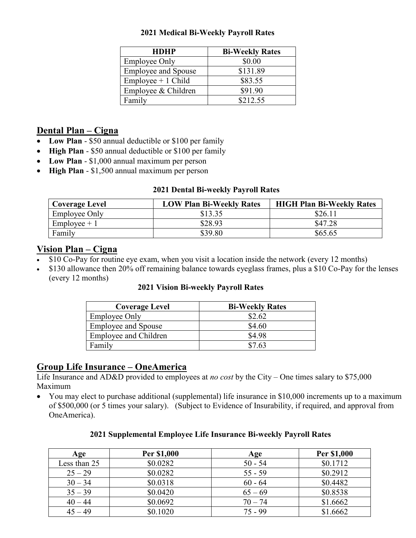#### **2021 Medical Bi-Weekly Payroll Rates**

| <b>HDHP</b>                | <b>Bi-Weekly Rates</b> |
|----------------------------|------------------------|
| <b>Employee Only</b>       | \$0.00                 |
| <b>Employee and Spouse</b> | \$131.89               |
| $Employee + 1 Child$       | \$83.55                |
| Employee & Children        | \$91.90                |
| Family                     | \$212.55               |

# **Dental Plan – Cigna**

- **Low Plan** \$50 annual deductible or \$100 per family
- **High Plan**  \$50 annual deductible or \$100 per family
- **Low Plan** \$1,000 annual maximum per person
- **High Plan** \$1,500 annual maximum per person

#### **2021 Dental Bi-weekly Payroll Rates**

| <b>Coverage Level</b> | <b>LOW Plan Bi-Weekly Rates</b> | <b>HIGH Plan Bi-Weekly Rates</b> |
|-----------------------|---------------------------------|----------------------------------|
| <b>Employee Only</b>  | \$13.35                         | \$26.11                          |
| $Employee + 1$        | \$28.93                         | \$47.28                          |
| Family                | \$39.80                         | \$65.65                          |

# **Vision Plan – Cigna**

- \$10 Co-Pay for routine eye exam, when you visit a location inside the network (every 12 months)
- \$130 allowance then 20% off remaining balance towards eyeglass frames, plus a \$10 Co-Pay for the lenses (every 12 months)

#### **2021 Vision Bi-weekly Payroll Rates**

| <b>Coverage Level</b>      | <b>Bi-Weekly Rates</b> |
|----------------------------|------------------------|
| <b>Employee Only</b>       | \$2.62                 |
| <b>Employee and Spouse</b> | \$4.60                 |
| Employee and Children      | \$4.98                 |
| Family                     | \$7.63                 |

# **Group Life Insurance – OneAmerica**

Life Insurance and AD&D provided to employees at *no cost* by the City – One times salary to \$75,000 Maximum

• You may elect to purchase additional (supplemental) life insurance in \$10,000 increments up to a maximum of \$500,000 (or 5 times your salary). (Subject to Evidence of Insurability, if required, and approval from OneAmerica).

| Age          | Per \$1,000 | Age       | Per \$1,000 |
|--------------|-------------|-----------|-------------|
| Less than 25 | \$0.0282    | $50 - 54$ | \$0.1712    |
| $25 - 29$    | \$0.0282    | $55 - 59$ | \$0.2912    |
| $30 - 34$    | \$0.0318    | $60 - 64$ | \$0.4482    |
| $35 - 39$    | \$0.0420    | $65 - 69$ | \$0.8538    |
| $40 - 44$    | \$0.0692    | $70 - 74$ | \$1.6662    |
| $45 - 49$    | \$0.1020    | $75 - 99$ | \$1.6662    |

#### **2021 Supplemental Employee Life Insurance Bi-weekly Payroll Rates**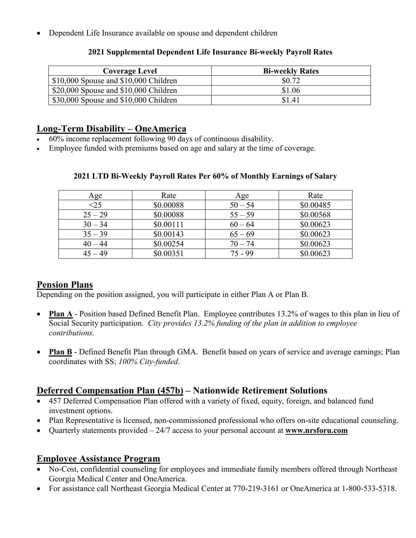• Dependent Life Insurance available on spouse and dependent children

| <b>Coverage Level</b>                   | <b>Bi-weekly Rates</b> |
|-----------------------------------------|------------------------|
| $$10,000$ Spouse and $$10,000$ Children | \$0.72                 |
| $$20,000$ Spouse and $$10,000$ Children | \$1.06                 |
| \$30,000 Spouse and \$10,000 Children   | \$1.41                 |

#### **2021 Supplemental Dependent Life Insurance Bi-weekly Payroll Rates**

# **Long-Term Disability – OneAmerica**

- 60% income replacement following 90 days of continuous disability.
- Employee funded with premiums based on age and salary at the time of coverage.

| Age       | Rate      | Age       | Rate      |
|-----------|-----------|-----------|-----------|
| <25       | \$0.00088 | $50 - 54$ | \$0.00485 |
| $25 - 29$ | \$0.00088 | $55 - 59$ | \$0.00568 |
| $30 - 34$ | \$0.00111 | $60 - 64$ | \$0.00623 |
| $35 - 39$ | \$0.00143 | $65 - 69$ | \$0.00623 |
| $40 - 44$ | \$0.00254 | $70 - 74$ | \$0.00623 |
| $45 - 49$ | \$0.00351 | 75 - 99   | \$0.00623 |

## **2021 LTD Bi-Weekly Payroll Rates Per 60% of Monthly Earnings of Salary**

# **Pension Plans**

Depending on the position assigned, you will participate in either Plan A or Plan B.

- **Plan A** Position based Defined Benefit Plan. Employee contributes 13.2% of wages to this plan in lieu of Social Security participation. *City provides 13.2% funding of the plan in addition to employee contributions.*
- **Plan B** Defined Benefit Plan through GMA. Benefit based on years of service and average earnings; Plan coordinates with SS; *100% City-funded*.

# **Deferred Compensation Plan (457b) – Nationwide Retirement Solutions**

- 457 Deferred Compensation Plan offered with a variety of fixed, equity, foreign, and balanced fund investment options.
- Plan Representative is licensed, non-commissioned professional who offers on-site educational counseling.
- Quarterly statements provided 24/7 access to your personal account at **[www.nrsforu.com](http://www.nrsforu.com/)**

# **Employee Assistance Program**

- No-Cost, confidential counseling for employees and immediate family members offered through Northeast Georgia Medical Center and OneAmerica.
- For assistance call Northeast Georgia Medical Center at 770-219-3161 or OneAmerica at 1-800-533-5318.